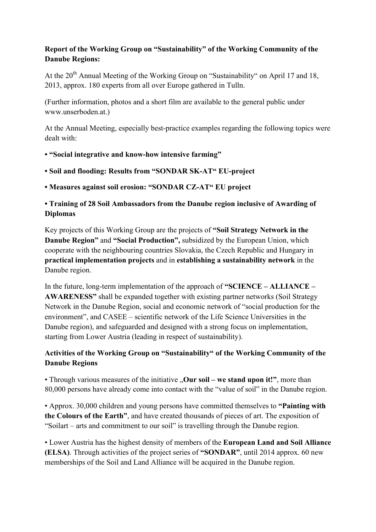## **Report of the Working Group on "Sustainability" of the Working Community of the Danube Regions:**

At the  $20<sup>th</sup>$  Annual Meeting of the Working Group on "Sustainability" on April 17 and 18, 2013, approx. 180 experts from all over Europe gathered in Tulln.

(Further information, photos and a short film are available to the general public under www.unserboden.at.)

At the Annual Meeting, especially best-practice examples regarding the following topics were dealt with:

## **• "Social integrative and know-how intensive farming"**

- **Soil and flooding: Results from "SONDAR SK-AT" EU-project**
- **Measures against soil erosion: "SONDAR CZ-AT" EU project**

## **• Training of 28 Soil Ambassadors from the Danube region inclusive of Awarding of Diplomas**

Key projects of this Working Group are the projects of **"Soil Strategy Network in the Danube Region"** and **"Social Production",** subsidized by the European Union, which cooperate with the neighbouring countries Slovakia, the Czech Republic and Hungary in **practical implementation projects** and in **establishing a sustainability network** in the Danube region.

In the future, long-term implementation of the approach of **"SCIENCE – ALLIANCE – AWARENESS"** shall be expanded together with existing partner networks (Soil Strategy Network in the Danube Region, social and economic network of "social production for the environment", and CASEE – scientific network of the Life Science Universities in the Danube region), and safeguarded and designed with a strong focus on implementation, starting from Lower Austria (leading in respect of sustainability).

## **Activities of the Working Group on "Sustainability" of the Working Community of the Danube Regions**

• Through various measures of the initiative "Our soil – we stand upon it!", more than 80,000 persons have already come into contact with the "value of soil" in the Danube region.

• Approx. 30,000 children and young persons have committed themselves to **"Painting with the Colours of the Earth"**, and have created thousands of pieces of art. The exposition of "Soilart – arts and commitment to our soil" is travelling through the Danube region.

• Lower Austria has the highest density of members of the **European Land and Soil Alliance (ELSA)**. Through activities of the project series of **"SONDAR"**, until 2014 approx. 60 new memberships of the Soil and Land Alliance will be acquired in the Danube region.